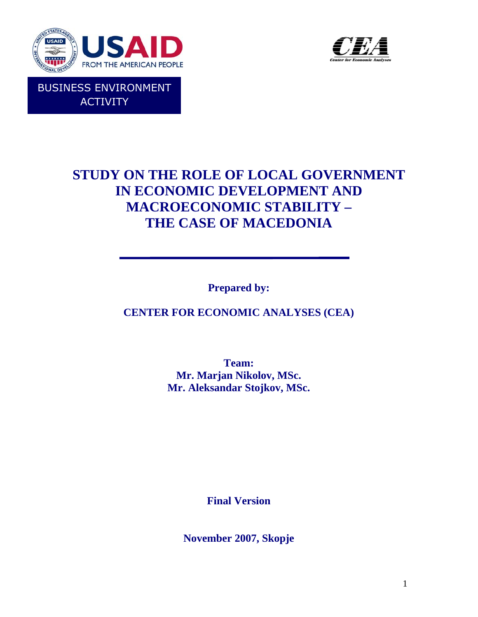

**ACTIVITY** 



# **STUDY ON THE ROLE OF LOCAL GOVERNMENT IN ECONOMIC DEVELOPMENT AND MACROECONOMIC STABILITY – THE CASE OF MACEDONIA**

**Prepared by:** 

**CENTER FOR ECONOMIC ANALYSES (CEA)** 

**Team: Mr. Marjan Nikolov, MSc. Mr. Aleksandar Stojkov, MSc.** 

**Final Version** 

**November 2007, Skopje**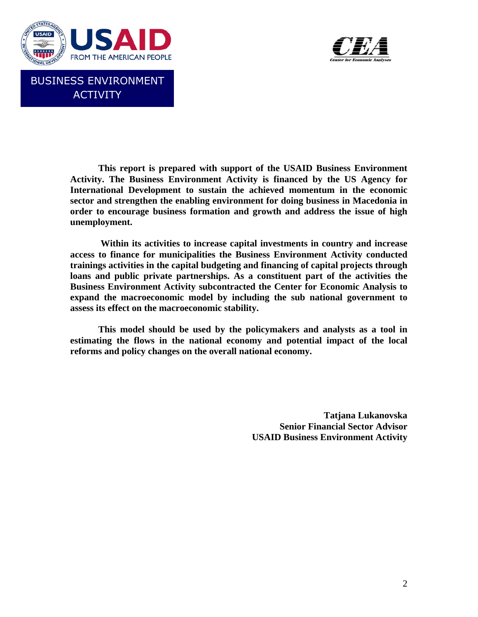



**This report is prepared with support of the USAID Business Environment Activity. The Business Environment Activity is financed by the US Agency for International Development to sustain the achieved momentum in the economic sector and strengthen the enabling environment for doing business in Macedonia in order to encourage business formation and growth and address the issue of high unemployment.** 

 **Within its activities to increase capital investments in country and increase access to finance for municipalities the Business Environment Activity conducted trainings activities in the capital budgeting and financing of capital projects through loans and public private partnerships. As a constituent part of the activities the Business Environment Activity subcontracted the Center for Economic Analysis to expand the macroeconomic model by including the sub national government to assess its effect on the macroeconomic stability.** 

**This model should be used by the policymakers and analysts as a tool in estimating the flows in the national economy and potential impact of the local reforms and policy changes on the overall national economy.** 

> **Tatjana Lukanovska Senior Financial Sector Advisor USAID Business Environment Activity**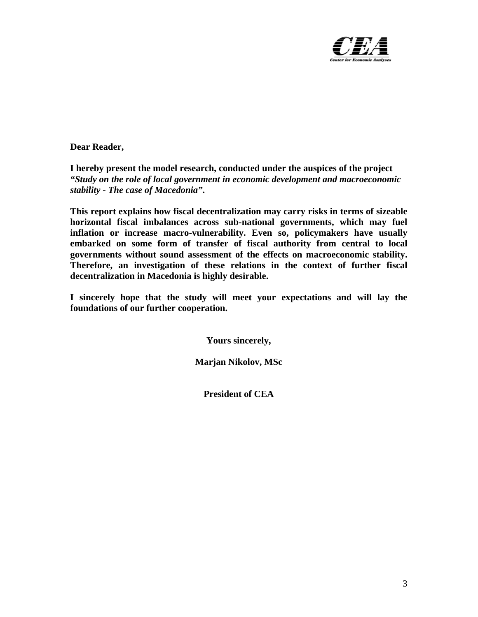

**Dear Reader,** 

**I hereby present the model research, conducted under the auspices of the project**  *"Study on the role of local government in economic development and macroeconomic stability - The case of Macedonia"***.** 

**This report explains how fiscal decentralization may carry risks in terms of sizeable horizontal fiscal imbalances across sub-national governments, which may fuel inflation or increase macro-vulnerability. Even so, policymakers have usually embarked on some form of transfer of fiscal authority from central to local governments without sound assessment of the effects on macroeconomic stability. Therefore, an investigation of these relations in the context of further fiscal decentralization in Macedonia is highly desirable.** 

**I sincerely hope that the study will meet your expectations and will lay the foundations of our further cooperation.** 

**Yours sincerely,** 

**Marjan Nikolov, MSc** 

**President of CEA**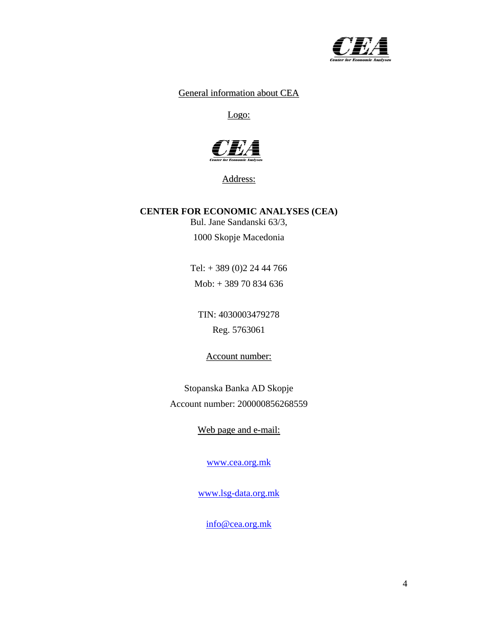

#### General information about CEA

Logo:



Address:

## **CENTER FOR ECONOMIC ANALYSES (CEA)**

Bul. Jane Sandanski 63/3,

1000 Skopje Macedonia

Tel: + 389 (0)2 24 44 766 Mob: + 389 70 834 636

TIN: 4030003479278 Reg. 5763061

Account number:

Stopanska Banka AD Skopje Account number: 200000856268559

Web page and e-mail:

[www.cea.org.mk](http://www.cea.org.mk/)

[www.lsg-data.org.mk](http://www.lsg-data.org.mk/)

[info@cea.org.mk](mailto:info@cea.org.mk)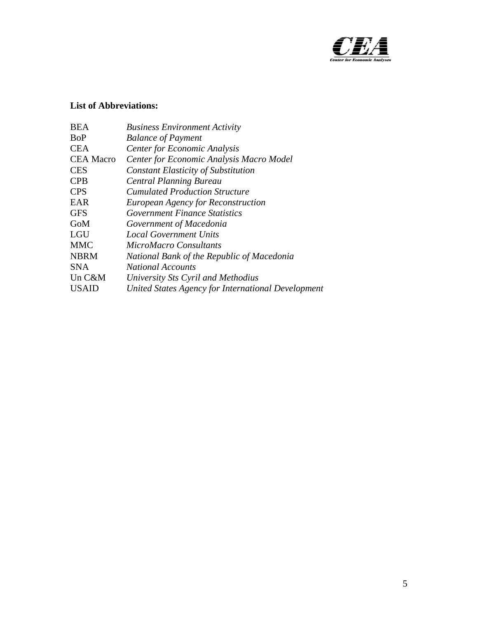

## **List of Abbreviations:**

| BEA              | <b>Business Environment Activity</b>               |
|------------------|----------------------------------------------------|
| <b>BoP</b>       | <b>Balance of Payment</b>                          |
| <b>CEA</b>       | <b>Center for Economic Analysis</b>                |
| <b>CEA Macro</b> | Center for Economic Analysis Macro Model           |
| <b>CES</b>       | <b>Constant Elasticity of Substitution</b>         |
| <b>CPB</b>       | <b>Central Planning Bureau</b>                     |
| <b>CPS</b>       | <i>Cumulated Production Structure</i>              |
| <b>EAR</b>       | <b>European Agency for Reconstruction</b>          |
| <b>GFS</b>       | <i>Government Finance Statistics</i>               |
| GoM              | Government of Macedonia                            |
| LGU              | <b>Local Government Units</b>                      |
| <b>MMC</b>       | <b>MicroMacro Consultants</b>                      |
| <b>NBRM</b>      | National Bank of the Republic of Macedonia         |
| <b>SNA</b>       | <b>National Accounts</b>                           |
| Un C&M           | University Sts Cyril and Methodius                 |
| <b>USAID</b>     | United States Agency for International Development |
|                  |                                                    |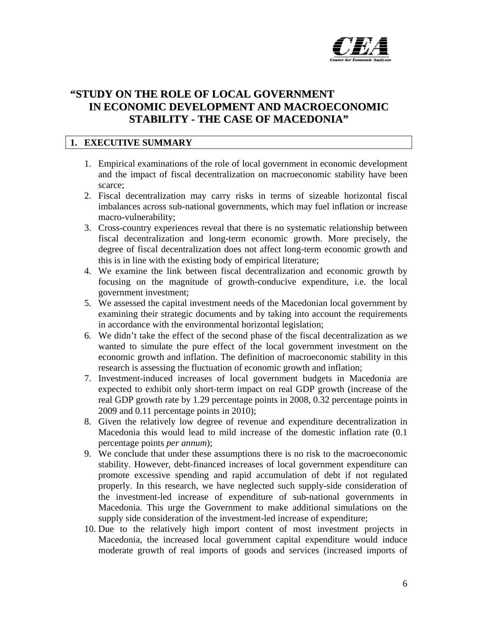

# **"STUDY ON THE ROLE OF LOCAL GOVERNMENT IN ECONOMIC DEVELOPMENT AND MACROECONOMIC STABILITY - THE CASE OF MACEDONIA"**

## **1. EXECUTIVE SUMMARY**

- 1. Empirical examinations of the role of local government in economic development and the impact of fiscal decentralization on macroeconomic stability have been scarce;
- 2. Fiscal decentralization may carry risks in terms of sizeable horizontal fiscal imbalances across sub-national governments, which may fuel inflation or increase macro-vulnerability;
- 3. Cross-country experiences reveal that there is no systematic relationship between fiscal decentralization and long-term economic growth. More precisely, the degree of fiscal decentralization does not affect long-term economic growth and this is in line with the existing body of empirical literature;
- 4. We examine the link between fiscal decentralization and economic growth by focusing on the magnitude of growth-conducive expenditure, i.e. the local government investment;
- 5. We assessed the capital investment needs of the Macedonian local government by examining their strategic documents and by taking into account the requirements in accordance with the environmental horizontal legislation;
- 6. We didn't take the effect of the second phase of the fiscal decentralization as we wanted to simulate the pure effect of the local government investment on the economic growth and inflation. The definition of macroeconomic stability in this research is assessing the fluctuation of economic growth and inflation;
- 7. Investment-induced increases of local government budgets in Macedonia are expected to exhibit only short-term impact on real GDP growth (increase of the real GDP growth rate by 1.29 percentage points in 2008, 0.32 percentage points in 2009 and 0.11 percentage points in 2010);
- 8. Given the relatively low degree of revenue and expenditure decentralization in Macedonia this would lead to mild increase of the domestic inflation rate (0.1 percentage points *per annum*);
- 9. We conclude that under these assumptions there is no risk to the macroeconomic stability. However, debt-financed increases of local government expenditure can promote excessive spending and rapid accumulation of debt if not regulated properly. In this research, we have neglected such supply-side consideration of the investment-led increase of expenditure of sub-national governments in Macedonia. This urge the Government to make additional simulations on the supply side consideration of the investment-led increase of expenditure;
- 10. Due to the relatively high import content of most investment projects in Macedonia, the increased local government capital expenditure would induce moderate growth of real imports of goods and services (increased imports of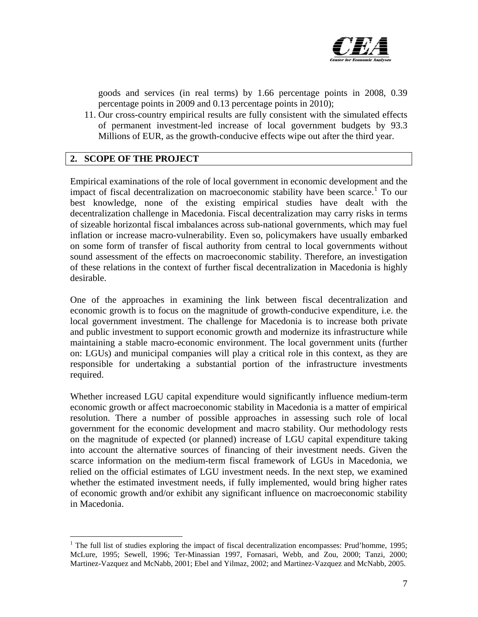

goods and services (in real terms) by 1.66 percentage points in 2008, 0.39 percentage points in 2009 and 0.13 percentage points in 2010);

11. Our cross-country empirical results are fully consistent with the simulated effects of permanent investment-led increase of local government budgets by 93.3 Millions of EUR, as the growth-conducive effects wipe out after the third year.

## **2. SCOPE OF THE PROJECT**

 $\overline{a}$ 

Empirical examinations of the role of local government in economic development and the impact of fiscal decentralization on macroeconomic stability have been scarce.<sup>[1](#page-6-0)</sup> To our best knowledge, none of the existing empirical studies have dealt with the decentralization challenge in Macedonia. Fiscal decentralization may carry risks in terms of sizeable horizontal fiscal imbalances across sub-national governments, which may fuel inflation or increase macro-vulnerability. Even so, policymakers have usually embarked on some form of transfer of fiscal authority from central to local governments without sound assessment of the effects on macroeconomic stability. Therefore, an investigation of these relations in the context of further fiscal decentralization in Macedonia is highly desirable.

One of the approaches in examining the link between fiscal decentralization and economic growth is to focus on the magnitude of growth-conducive expenditure, i.e. the local government investment. The challenge for Macedonia is to increase both private and public investment to support economic growth and modernize its infrastructure while maintaining a stable macro-economic environment. The local government units (further on: LGUs) and municipal companies will play a critical role in this context, as they are responsible for undertaking a substantial portion of the infrastructure investments required.

Whether increased LGU capital expenditure would significantly influence medium-term economic growth or affect macroeconomic stability in Macedonia is a matter of empirical resolution. There a number of possible approaches in assessing such role of local government for the economic development and macro stability. Our methodology rests on the magnitude of expected (or planned) increase of LGU capital expenditure taking into account the alternative sources of financing of their investment needs. Given the scarce information on the medium-term fiscal framework of LGUs in Macedonia, we relied on the official estimates of LGU investment needs. In the next step, we examined whether the estimated investment needs, if fully implemented, would bring higher rates of economic growth and/or exhibit any significant influence on macroeconomic stability in Macedonia.

<span id="page-6-0"></span><sup>&</sup>lt;sup>1</sup> The full list of studies exploring the impact of fiscal decentralization encompasses: Prud'homme, 1995; McLure, 1995; Sewell, 1996; Ter-Minassian 1997, Fornasari, Webb, and Zou, 2000; Tanzi, 2000; Martinez-Vazquez and McNabb, 2001; Ebel and Yilmaz, 2002; and Martinez-Vazquez and McNabb, 2005.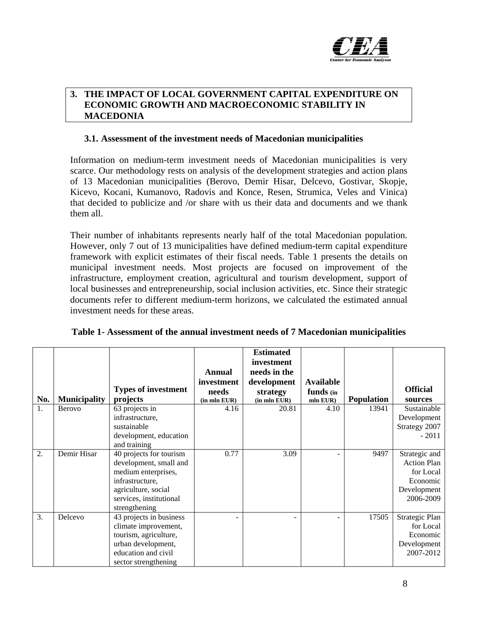

#### **3. THE IMPACT OF LOCAL GOVERNMENT CAPITAL EXPENDITURE ON ECONOMIC GROWTH AND MACROECONOMIC STABILITY IN MACEDONIA**

#### **3.1. Assessment of the investment needs of Macedonian municipalities**

Information on medium-term investment needs of Macedonian municipalities is very scarce. Our methodology rests on analysis of the development strategies and action plans of 13 Macedonian municipalities (Berovo, Demir Hisar, Delcevo, Gostivar, Skopje, Kicevo, Kocani, Kumanovo, Radovis and Konce, Resen, Strumica, Veles and Vinica) that decided to publicize and /or share with us their data and documents and we thank them all.

Their number of inhabitants represents nearly half of the total Macedonian population. However, only 7 out of 13 municipalities have defined medium-term capital expenditure framework with explicit estimates of their fiscal needs. Table 1 presents the details on municipal investment needs. Most projects are focused on improvement of the infrastructure, employment creation, agricultural and tourism development, support of local businesses and entrepreneurship, social inclusion activities, etc. Since their strategic documents refer to different medium-term horizons, we calculated the estimated annual investment needs for these areas.

|     |                     |                            |               | <b>Estimated</b><br>investment |                  |                   |                    |
|-----|---------------------|----------------------------|---------------|--------------------------------|------------------|-------------------|--------------------|
|     |                     |                            | <b>Annual</b> | needs in the                   |                  |                   |                    |
|     |                     |                            | investment    | development                    | <b>Available</b> |                   |                    |
|     |                     | <b>Types of investment</b> | needs         | strategy                       | funds (in        |                   | <b>Official</b>    |
| No. | <b>Municipality</b> | projects                   | (in mln EUR)  | $(in$ mln $EUR)$               | mln EUR)         | <b>Population</b> | sources            |
| 1.  | Berovo              | 63 projects in             | 4.16          | 20.81                          | 4.10             | 13941             | Sustainable        |
|     |                     | infrastructure,            |               |                                |                  |                   | Development        |
|     |                     | sustainable                |               |                                |                  |                   | Strategy 2007      |
|     |                     | development, education     |               |                                |                  |                   | $-2011$            |
|     |                     | and training               |               |                                |                  |                   |                    |
| 2.  | Demir Hisar         | 40 projects for tourism    | 0.77          | 3.09                           |                  | 9497              | Strategic and      |
|     |                     | development, small and     |               |                                |                  |                   | <b>Action Plan</b> |
|     |                     | medium enterprises,        |               |                                |                  |                   | for Local          |
|     |                     | infrastructure,            |               |                                |                  |                   | Economic           |
|     |                     | agriculture, social        |               |                                |                  |                   | Development        |
|     |                     | services, institutional    |               |                                |                  |                   | 2006-2009          |
|     |                     | strengthening              |               |                                |                  |                   |                    |
| 3.  | Delcevo             | 43 projects in business    |               |                                |                  | 17505             | Strategic Plan     |
|     |                     | climate improvement,       |               |                                |                  |                   | for Local          |
|     |                     | tourism, agriculture,      |               |                                |                  |                   | Economic           |
|     |                     | urban development,         |               |                                |                  |                   | Development        |
|     |                     | education and civil        |               |                                |                  |                   | 2007-2012          |
|     |                     | sector strengthening       |               |                                |                  |                   |                    |

#### **Table 1- Assessment of the annual investment needs of 7 Macedonian municipalities**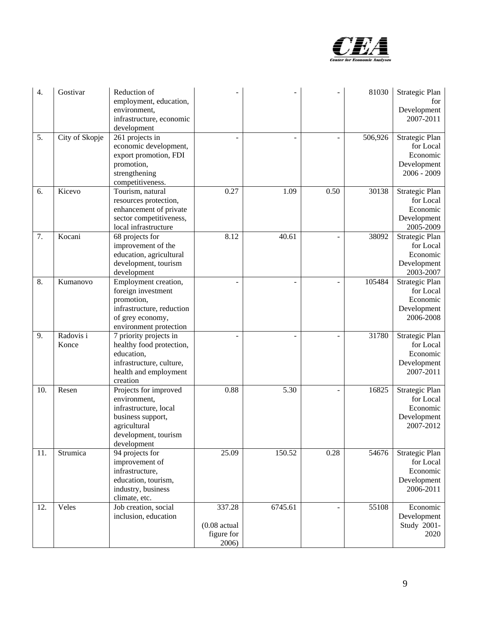

| 4.  | Gostivar           | Reduction of<br>employment, education,<br>environment,<br>infrastructure, economic<br>development                                          |                                                 |         |                | 81030   | Strategic Plan<br>for<br>Development<br>2007-2011                       |
|-----|--------------------|--------------------------------------------------------------------------------------------------------------------------------------------|-------------------------------------------------|---------|----------------|---------|-------------------------------------------------------------------------|
| 5.  | City of Skopje     | 261 projects in<br>economic development,<br>export promotion, FDI<br>promotion,<br>strengthening<br>competitiveness.                       |                                                 |         |                | 506,926 | Strategic Plan<br>for Local<br>Economic<br>Development<br>$2006 - 2009$ |
| 6.  | Kicevo             | Tourism, natural<br>resources protection,<br>enhancement of private<br>sector competitiveness,<br>local infrastructure                     | 0.27                                            | 1.09    | 0.50           | 30138   | Strategic Plan<br>for Local<br>Economic<br>Development<br>2005-2009     |
| 7.  | Kocani             | 68 projects for<br>improvement of the<br>education, agricultural<br>development, tourism<br>development                                    | 8.12                                            | 40.61   | $\overline{a}$ | 38092   | Strategic Plan<br>for Local<br>Economic<br>Development<br>2003-2007     |
| 8.  | Kumanovo           | Employment creation,<br>foreign investment<br>promotion,<br>infrastructure, reduction<br>of grey economy,<br>environment protection        |                                                 |         |                | 105484  | Strategic Plan<br>for Local<br>Economic<br>Development<br>2006-2008     |
| 9.  | Radovis i<br>Konce | 7 priority projects in<br>healthy food protection,<br>education,<br>infrastructure, culture,<br>health and employment<br>creation          |                                                 |         |                | 31780   | Strategic Plan<br>for Local<br>Economic<br>Development<br>2007-2011     |
| 10. | Resen              | Projects for improved<br>environment,<br>infrastructure, local<br>business support,<br>agricultural<br>development, tourism<br>development | 0.88                                            | 5.30    |                | 16825   | Strategic Plan<br>for Local<br>Economic<br>Development<br>2007-2012     |
| 11. | Strumica           | 94 projects for<br>improvement of<br>infrastructure,<br>education, tourism,<br>industry, business<br>climate, etc.                         | 25.09                                           | 150.52  | 0.28           | 54676   | Strategic Plan<br>for Local<br>Economic<br>Development<br>2006-2011     |
| 12. | Veles              | Job creation, social<br>inclusion, education                                                                                               | 337.28<br>$(0.08$ actual<br>figure for<br>2006) | 6745.61 |                | 55108   | Economic<br>Development<br>Study 2001-<br>2020                          |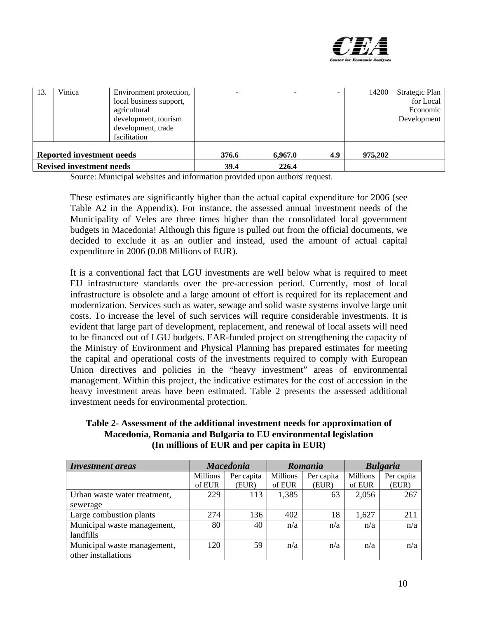

| 13. | Vinica                                                              | Environment protection,<br>local business support,<br>agricultural<br>development, tourism<br>development, trade<br>facilitation |               | -                | $\overline{\phantom{0}}$ | 14200   | Strategic Plan<br>for Local<br>Economic<br>Development |
|-----|---------------------------------------------------------------------|----------------------------------------------------------------------------------------------------------------------------------|---------------|------------------|--------------------------|---------|--------------------------------------------------------|
|     | <b>Reported investment needs</b><br><b>Revised investment needs</b> |                                                                                                                                  | 376.6<br>39.4 | 6,967.0<br>226.4 | 4.9                      | 975,202 |                                                        |

Source: Municipal websites and information provided upon authors' request.

These estimates are significantly higher than the actual capital expenditure for 2006 (see Table A2 in the Appendix). For instance, the assessed annual investment needs of the Municipality of Veles are three times higher than the consolidated local government budgets in Macedonia! Although this figure is pulled out from the official documents, we decided to exclude it as an outlier and instead, used the amount of actual capital expenditure in 2006 (0.08 Millions of EUR).

It is a conventional fact that LGU investments are well below what is required to meet EU infrastructure standards over the pre-accession period. Currently, most of local infrastructure is obsolete and a large amount of effort is required for its replacement and modernization. Services such as water, sewage and solid waste systems involve large unit costs. To increase the level of such services will require considerable investments. It is evident that large part of development, replacement, and renewal of local assets will need to be financed out of LGU budgets. EAR-funded project on strengthening the capacity of the Ministry of Environment and Physical Planning has prepared estimates for meeting the capital and operational costs of the investments required to comply with European Union directives and policies in the "heavy investment" areas of environmental management. Within this project, the indicative estimates for the cost of accession in the heavy investment areas have been estimated. Table 2 presents the assessed additional investment needs for environmental protection.

**Table 2- Assessment of the additional investment needs for approximation of Macedonia, Romania and Bulgaria to EU environmental legislation (In millions of EUR and per capita in EUR)** 

| <b>Investment</b> areas      | <b>Macedonia</b> |            | Romania         |            | <b>Bulgaria</b> |            |
|------------------------------|------------------|------------|-----------------|------------|-----------------|------------|
|                              | Millions         | Per capita | <b>Millions</b> | Per capita | Millions        | Per capita |
|                              | of EUR           | (EUR)      | of EUR          | (EUR)      | of EUR          | (EUR)      |
| Urban waste water treatment, | 229              | 113        | 1,385           | 63         | 2,056           | 267        |
| sewerage                     |                  |            |                 |            |                 |            |
| Large combustion plants      | 274              | 136        | 402             | 18         | 1,627           | 211        |
| Municipal waste management,  | 80               | 40         | n/a             | n/a        | n/a             | n/a        |
| landfills                    |                  |            |                 |            |                 |            |
| Municipal waste management,  | 120              | 59         | n/a             | n/a        | n/a             | n/a        |
| other installations          |                  |            |                 |            |                 |            |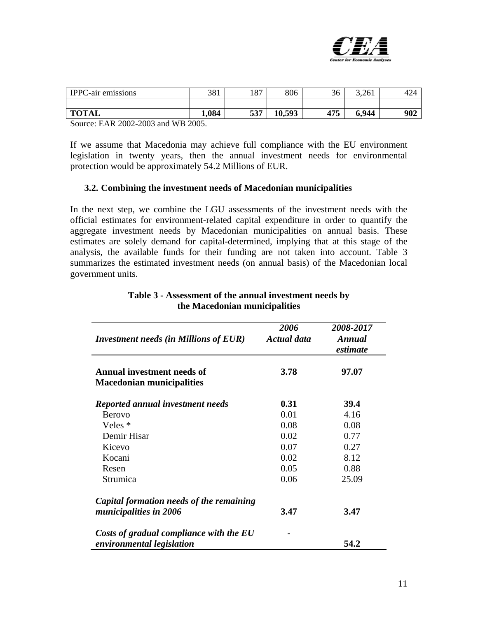

| <b>IPPC-air emissions</b> | 381   | O <sub>7</sub><br>ر ۱۵ | 806    | 36  | 3,261 | 12 <sub>A</sub><br> |
|---------------------------|-------|------------------------|--------|-----|-------|---------------------|
|                           |       |                        |        |     |       |                     |
| <b>TOTAL</b>              | 1,084 | 537                    | 10,593 | 475 | 6,944 | 902                 |

Source: EAR 2002-2003 and WB 2005.

If we assume that Macedonia may achieve full compliance with the EU environment legislation in twenty years, then the annual investment needs for environmental protection would be approximately 54.2 Millions of EUR.

#### **3.2. Combining the investment needs of Macedonian municipalities**

In the next step, we combine the LGU assessments of the investment needs with the official estimates for environment-related capital expenditure in order to quantify the aggregate investment needs by Macedonian municipalities on annual basis. These estimates are solely demand for capital-determined, implying that at this stage of the analysis, the available funds for their funding are not taken into account. Table 3 summarizes the estimated investment needs (on annual basis) of the Macedonian local government units.

| <b>Investment needs (in Millions of EUR)</b>                          | 2006<br><b>Actual data</b> | 2008-2017<br>Annual<br>estimate |
|-----------------------------------------------------------------------|----------------------------|---------------------------------|
| <b>Annual investment needs of</b><br><b>Macedonian municipalities</b> | 3.78                       | 97.07                           |
| Reported annual investment needs                                      | 0.31                       | 39.4                            |
| <b>Berovo</b>                                                         | 0.01                       | 4.16                            |
| Veles *                                                               | 0.08                       | 0.08                            |
| Demir Hisar                                                           | 0.02                       | 0.77                            |
| Kicevo                                                                | 0.07                       | 0.27                            |
| Kocani                                                                | 0.02                       | 8.12                            |
| Resen                                                                 | 0.05                       | 0.88                            |
| Strumica                                                              | 0.06                       | 25.09                           |
| Capital formation needs of the remaining                              |                            |                                 |
| municipalities in 2006                                                | 3.47                       | 3.47                            |
| Costs of gradual compliance with the EU                               |                            |                                 |
| environmental legislation                                             |                            | 54.2                            |

#### **Table 3 - Assessment of the annual investment needs by the Macedonian municipalities**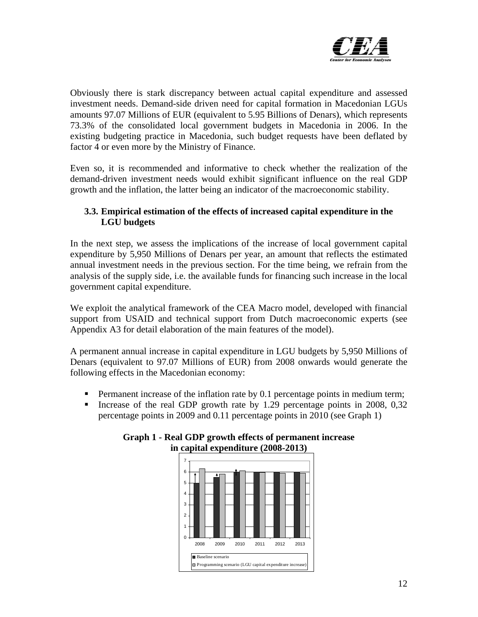

Obviously there is stark discrepancy between actual capital expenditure and assessed investment needs. Demand-side driven need for capital formation in Macedonian LGUs amounts 97.07 Millions of EUR (equivalent to 5.95 Billions of Denars), which represents 73.3% of the consolidated local government budgets in Macedonia in 2006. In the existing budgeting practice in Macedonia, such budget requests have been deflated by factor 4 or even more by the Ministry of Finance.

Even so, it is recommended and informative to check whether the realization of the demand-driven investment needs would exhibit significant influence on the real GDP growth and the inflation, the latter being an indicator of the macroeconomic stability.

## **3.3. Empirical estimation of the effects of increased capital expenditure in the LGU budgets**

In the next step, we assess the implications of the increase of local government capital expenditure by 5,950 Millions of Denars per year, an amount that reflects the estimated annual investment needs in the previous section. For the time being, we refrain from the analysis of the supply side, i.e. the available funds for financing such increase in the local government capital expenditure.

We exploit the analytical framework of the CEA Macro model, developed with financial support from USAID and technical support from Dutch macroeconomic experts (see Appendix A3 for detail elaboration of the main features of the model).

A permanent annual increase in capital expenditure in LGU budgets by 5,950 Millions of Denars (equivalent to 97.07 Millions of EUR) from 2008 onwards would generate the following effects in the Macedonian economy:

- **Permanent increase of the inflation rate by 0.1 percentage points in medium term;**
- Increase of the real GDP growth rate by 1.29 percentage points in 2008,  $0.32$ percentage points in 2009 and 0.11 percentage points in 2010 (see Graph 1)



#### **Graph 1 - Real GDP growth effects of permanent increase in capital expenditure (2008-2013)**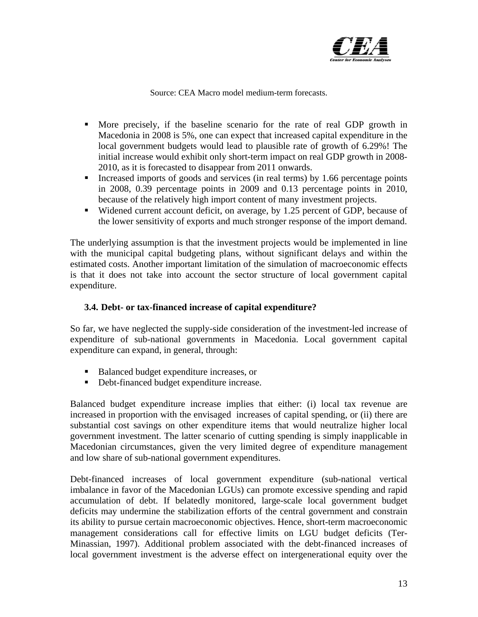

Source: CEA Macro model medium-term forecasts.

- More precisely, if the baseline scenario for the rate of real GDP growth in Macedonia in 2008 is 5%, one can expect that increased capital expenditure in the local government budgets would lead to plausible rate of growth of 6.29%! The initial increase would exhibit only short-term impact on real GDP growth in 2008- 2010, as it is forecasted to disappear from 2011 onwards.
- Increased imports of goods and services (in real terms) by 1.66 percentage points in 2008, 0.39 percentage points in 2009 and 0.13 percentage points in 2010, because of the relatively high import content of many investment projects.
- Widened current account deficit, on average, by 1.25 percent of GDP, because of the lower sensitivity of exports and much stronger response of the import demand.

The underlying assumption is that the investment projects would be implemented in line with the municipal capital budgeting plans, without significant delays and within the estimated costs. Another important limitation of the simulation of macroeconomic effects is that it does not take into account the sector structure of local government capital expenditure.

### **3.4. Debt- or tax-financed increase of capital expenditure?**

So far, we have neglected the supply-side consideration of the investment-led increase of expenditure of sub-national governments in Macedonia. Local government capital expenditure can expand, in general, through:

- Balanced budget expenditure increases, or
- Debt-financed budget expenditure increase.

Balanced budget expenditure increase implies that either: (i) local tax revenue are increased in proportion with the envisaged increases of capital spending, or (ii) there are substantial cost savings on other expenditure items that would neutralize higher local government investment. The latter scenario of cutting spending is simply inapplicable in Macedonian circumstances, given the very limited degree of expenditure management and low share of sub-national government expenditures.

Debt-financed increases of local government expenditure (sub-national vertical imbalance in favor of the Macedonian LGUs) can promote excessive spending and rapid accumulation of debt. If belatedly monitored, large-scale local government budget deficits may undermine the stabilization efforts of the central government and constrain its ability to pursue certain macroeconomic objectives. Hence, short-term macroeconomic management considerations call for effective limits on LGU budget deficits (Ter-Minassian, 1997). Additional problem associated with the debt-financed increases of local government investment is the adverse effect on intergenerational equity over the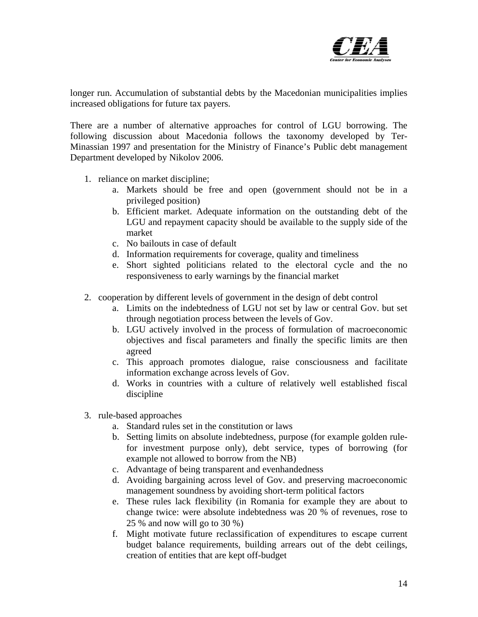

longer run. Accumulation of substantial debts by the Macedonian municipalities implies increased obligations for future tax payers.

There are a number of alternative approaches for control of LGU borrowing. The following discussion about Macedonia follows the taxonomy developed by Ter-Minassian 1997 and presentation for the Ministry of Finance's Public debt management Department developed by Nikolov 2006.

- 1. reliance on market discipline;
	- a. Markets should be free and open (government should not be in a privileged position)
	- b. Efficient market. Adequate information on the outstanding debt of the LGU and repayment capacity should be available to the supply side of the market
	- c. No bailouts in case of default
	- d. Information requirements for coverage, quality and timeliness
	- e. Short sighted politicians related to the electoral cycle and the no responsiveness to early warnings by the financial market
- 2. cooperation by different levels of government in the design of debt control
	- a. Limits on the indebtedness of LGU not set by law or central Gov. but set through negotiation process between the levels of Gov.
	- b. LGU actively involved in the process of formulation of macroeconomic objectives and fiscal parameters and finally the specific limits are then agreed
	- c. This approach promotes dialogue, raise consciousness and facilitate information exchange across levels of Gov.
	- d. Works in countries with a culture of relatively well established fiscal discipline
- 3. rule-based approaches
	- a. Standard rules set in the constitution or laws
	- b. Setting limits on absolute indebtedness, purpose (for example golden rulefor investment purpose only), debt service, types of borrowing (for example not allowed to borrow from the NB)
	- c. Advantage of being transparent and evenhandedness
	- d. Avoiding bargaining across level of Gov. and preserving macroeconomic management soundness by avoiding short-term political factors
	- e. These rules lack flexibility (in Romania for example they are about to change twice: were absolute indebtedness was 20 % of revenues, rose to 25 % and now will go to 30 %)
	- f. Might motivate future reclassification of expenditures to escape current budget balance requirements, building arrears out of the debt ceilings, creation of entities that are kept off-budget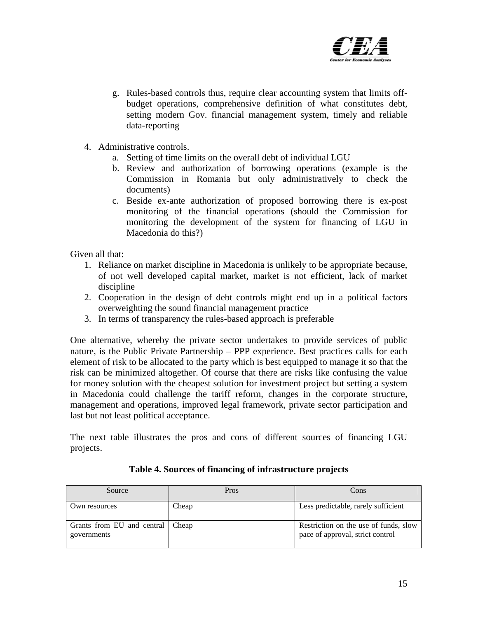

- g. Rules-based controls thus, require clear accounting system that limits offbudget operations, comprehensive definition of what constitutes debt, setting modern Gov. financial management system, timely and reliable data-reporting
- 4. Administrative controls.
	- a. Setting of time limits on the overall debt of individual LGU
	- b. Review and authorization of borrowing operations (example is the Commission in Romania but only administratively to check the documents)
	- c. Beside ex-ante authorization of proposed borrowing there is ex-post monitoring of the financial operations (should the Commission for monitoring the development of the system for financing of LGU in Macedonia do this?)

Given all that:

- 1. Reliance on market discipline in Macedonia is unlikely to be appropriate because, of not well developed capital market, market is not efficient, lack of market discipline
- 2. Cooperation in the design of debt controls might end up in a political factors overweighting the sound financial management practice
- 3. In terms of transparency the rules-based approach is preferable

One alternative, whereby the private sector undertakes to provide services of public nature, is the Public Private Partnership – PPP experience. Best practices calls for each element of risk to be allocated to the party which is best equipped to manage it so that the risk can be minimized altogether. Of course that there are risks like confusing the value for money solution with the cheapest solution for investment project but setting a system in Macedonia could challenge the tariff reform, changes in the corporate structure, management and operations, improved legal framework, private sector participation and last but not least political acceptance.

The next table illustrates the pros and cons of different sources of financing LGU projects.

| Source                                            | Pros  | Cons                                                                      |
|---------------------------------------------------|-------|---------------------------------------------------------------------------|
| Own resources                                     | Cheap | Less predictable, rarely sufficient                                       |
| Grants from EU and central   Cheap<br>governments |       | Restriction on the use of funds, slow<br>pace of approval, strict control |

#### **Table 4. Sources of financing of infrastructure projects**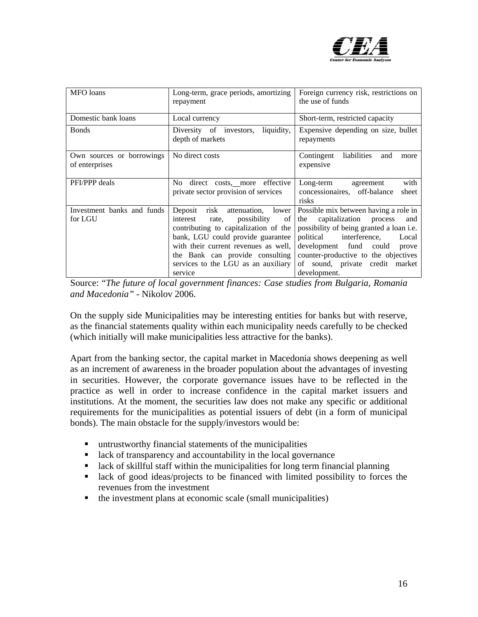

| MFO loans                                   | Long-term, grace periods, amortizing<br>repayment                                                                                                                                                                                                                                          | Foreign currency risk, restrictions on<br>the use of funds                                                                                                                                                                                                                                        |
|---------------------------------------------|--------------------------------------------------------------------------------------------------------------------------------------------------------------------------------------------------------------------------------------------------------------------------------------------|---------------------------------------------------------------------------------------------------------------------------------------------------------------------------------------------------------------------------------------------------------------------------------------------------|
| Domestic bank loans                         | Local currency                                                                                                                                                                                                                                                                             | Short-term, restricted capacity                                                                                                                                                                                                                                                                   |
| <b>Bonds</b>                                | liquidity,<br>Diversity of investors,<br>depth of markets                                                                                                                                                                                                                                  | Expensive depending on size, bullet<br>repayments                                                                                                                                                                                                                                                 |
| Own sources or borrowings<br>of enterprises | No direct costs                                                                                                                                                                                                                                                                            | liabilities<br>Contingent<br>and<br>more<br>expensive                                                                                                                                                                                                                                             |
| PFI/PPP deals                               | direct costs, more effective<br>No –<br>private sector provision of services                                                                                                                                                                                                               | with<br>Long-term<br>agreement<br>concessionaires, off-balance<br>sheet<br>risks                                                                                                                                                                                                                  |
| Investment banks and funds<br>for LGU       | Deposit<br>risk<br>attenuation, lower<br>possibility<br>interest<br>of<br>rate,<br>contributing to capitalization of the<br>bank, LGU could provide guarantee<br>with their current revenues as well,<br>the Bank can provide consulting<br>services to the LGU as an auxiliary<br>service | Possible mix between having a role in<br>capitalization<br>process<br>the<br>and<br>possibility of being granted a loan i.e.<br>interference,<br>political<br>Local<br>development fund could<br>prove<br>counter-productive to the objectives<br>of sound, private credit market<br>development. |

Source: "*The future of local government finances: Case studies from Bulgaria, Romania and Macedonia"* - Nikolov 2006.

On the supply side Municipalities may be interesting entities for banks but with reserve, as the financial statements quality within each municipality needs carefully to be checked (which initially will make municipalities less attractive for the banks).

Apart from the banking sector, the capital market in Macedonia shows deepening as well as an increment of awareness in the broader population about the advantages of investing in securities. However, the corporate governance issues have to be reflected in the practice as well in order to increase confidence in the capital market issuers and institutions. At the moment, the securities law does not make any specific or additional requirements for the municipalities as potential issuers of debt (in a form of municipal bonds). The main obstacle for the supply/investors would be:

- **untrustworthy financial statements of the municipalities**
- **lack of transparency and accountability in the local governance**
- lack of skillful staff within the municipalities for long term financial planning
- lack of good ideas/projects to be financed with limited possibility to forces the revenues from the investment
- $\blacksquare$  the investment plans at economic scale (small municipalities)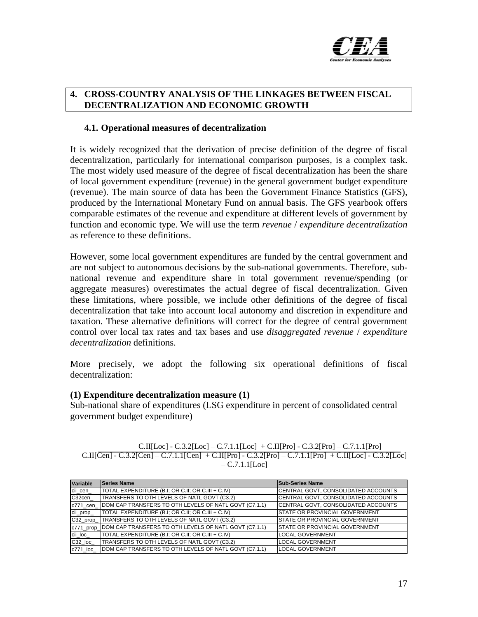

#### **4. CROSS-COUNTRY ANALYSIS OF THE LINKAGES BETWEEN FISCAL DECENTRALIZATION AND ECONOMIC GROWTH**

#### **4.1. Operational measures of decentralization**

It is widely recognized that the derivation of precise definition of the degree of fiscal decentralization, particularly for international comparison purposes, is a complex task. The most widely used measure of the degree of fiscal decentralization has been the share of local government expenditure (revenue) in the general government budget expenditure (revenue). The main source of data has been the Government Finance Statistics (GFS), produced by the International Monetary Fund on annual basis. The GFS yearbook offers comparable estimates of the revenue and expenditure at different levels of government by function and economic type. We will use the term *revenue* / *expenditure decentralization* as reference to these definitions.

However, some local government expenditures are funded by the central government and are not subject to autonomous decisions by the sub-national governments. Therefore, subnational revenue and expenditure share in total government revenue/spending (or aggregate measures) overestimates the actual degree of fiscal decentralization. Given these limitations, where possible, we include other definitions of the degree of fiscal decentralization that take into account local autonomy and discretion in expenditure and taxation. These alternative definitions will correct for the degree of central government control over local tax rates and tax bases and use *disaggregated revenue* / *expenditure decentralization* definitions.

More precisely, we adopt the following six operational definitions of fiscal decentralization:

#### **(1) Expenditure decentralization measure (1)**

Sub-national share of expenditures (LSG expenditure in percent of consolidated central government budget expenditure)

| C.II[Loc] - C.3.2[Loc] – C.7.1.1[Loc] + C.II[Pro] - C.3.2[Pro] – C.7.1.1[Pro]                          |
|--------------------------------------------------------------------------------------------------------|
| C.II[Cen] - C.3.2[Cen] – C.7.1.1[Cen] + C.II[Pro] - C.3.2[Pro] – C.7.1.1[Pro] + C.II[Loc] - C.3.2[Loc] |
| $-C.7.1.1$ [Loc]                                                                                       |

| Variable  | <b>Series Name</b>                                    | <b>Sub-Series Name</b>                 |
|-----------|-------------------------------------------------------|----------------------------------------|
| cii cen   | TOTAL EXPENDITURE (B.I; OR C.II; OR C.III + C.IV)     | CENTRAL GOVT, CONSOLIDATED ACCOUNTS    |
| C32cen    | <b>ITRANSFERS TO OTH LEVELS OF NATL GOVT (C3.2)</b>   | CENTRAL GOVT, CONSOLIDATED ACCOUNTS    |
| c771 cen  | DOM CAP TRANSFERS TO OTH LEVELS OF NATL GOVT (C7.1.1) | CENTRAL GOVT, CONSOLIDATED ACCOUNTS    |
| cii_prop_ | TOTAL EXPENDITURE (B.I; OR C.II; OR C.III + C.IV)     | <b>ISTATE OR PROVINCIAL GOVERNMENT</b> |
| C32 prop  | TRANSFERS TO OTH LEVELS OF NATL GOVT (C3.2)           | STATE OR PROVINCIAL GOVERNMENT         |
| c771 prop | DOM CAP TRANSFERS TO OTH LEVELS OF NATL GOVT (C7.1.1) | <b>ISTATE OR PROVINCIAL GOVERNMENT</b> |
| cii loc   | TOTAL EXPENDITURE (B.I; OR C.II; OR C.III + C.IV)     | <b>LOCAL GOVERNMENT</b>                |
| C32 loc   | TRANSFERS TO OTH LEVELS OF NATL GOVT (C3.2)           | <b>LOCAL GOVERNMENT</b>                |
| c771 loc  | DOM CAP TRANSFERS TO OTH LEVELS OF NATL GOVT (C7.1.1) | <b>LOCAL GOVERNMENT</b>                |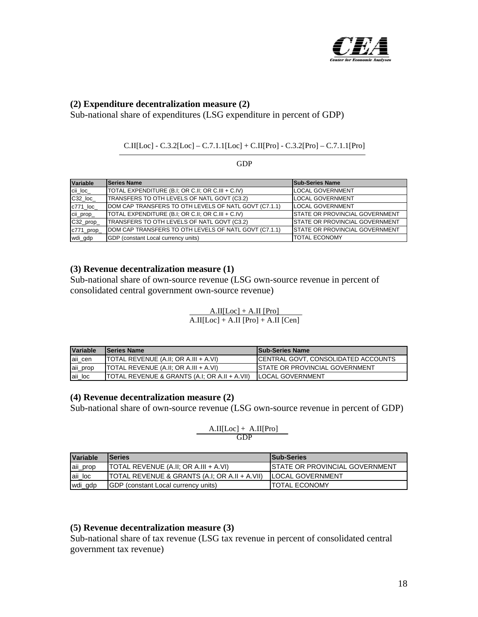

#### **(2) Expenditure decentralization measure (2)**

Sub-national share of expenditures (LSG expenditure in percent of GDP)

#### C.II[Loc] - C.3.2[Loc] – C.7.1.1[Loc] + C.II[Pro] - C.3.2[Pro] – C.7.1.1[Pro]

GDP

| Variable   | <b>Series Name</b>                                    | <b>Sub-Series Name</b>                 |
|------------|-------------------------------------------------------|----------------------------------------|
| cii loc    | TOTAL EXPENDITURE (B.I, OR C.II, OR C.III + C.IV)     | <b>LOCAL GOVERNMENT</b>                |
| C32 loc    | TRANSFERS TO OTH LEVELS OF NATL GOVT (C3.2)           | <b>LOCAL GOVERNMENT</b>                |
| c771 loc   | DOM CAP TRANSFERS TO OTH LEVELS OF NATL GOVT (C7.1.1) | <b>LOCAL GOVERNMENT</b>                |
| cii_prop_  | TOTAL EXPENDITURE (B.I; OR C.II; OR C.III + C.IV)     | <b>ISTATE OR PROVINCIAL GOVERNMENT</b> |
| C32_prop_  | TRANSFERS TO OTH LEVELS OF NATL GOVT (C3.2)           | STATE OR PROVINCIAL GOVERNMENT         |
| c771_prop_ | DOM CAP TRANSFERS TO OTH LEVELS OF NATL GOVT (C7.1.1) | <b>STATE OR PROVINCIAL GOVERNMENT</b>  |
| wdi_gdp    | GDP (constant Local currency units)                   | <b>TOTAL ECONOMY</b>                   |

#### **(3) Revenue decentralization measure (1)**

Sub-national share of own-source revenue (LSG own-source revenue in percent of consolidated central government own-source revenue)

| <b>Variable</b> | <b>Series Name</b>                            | <b>ISub-Series Name</b>                |
|-----------------|-----------------------------------------------|----------------------------------------|
| aii cen         | TOTAL REVENUE (A.II; OR A.III + A.VI)         | ICENTRAL GOVT. CONSOLIDATED ACCOUNTS   |
| aii_prop        | TOTAL REVENUE (A.II: OR A.III + A.VI)         | <b>ISTATE OR PROVINCIAL GOVERNMENT</b> |
| aii_loc         | TOTAL REVENUE & GRANTS (A.I; OR A.II + A.VII) | <b>ILOCAL GOVERNMENT</b>               |

 $A.II[Loc] + A.II [Pro]$  $\overline{A.II[Loc] + A.II[Pro] + A.II[Cen]}$ 

#### **(4) Revenue decentralization measure (2)**

Sub-national share of own-source revenue (LSG own-source revenue in percent of GDP)

$$
\frac{A.II[Loc] + A.II[Pro]}{GDP}
$$

| <b>Variable</b> | <b>ISeries</b>                                           | <b>ISub-Series</b>                     |
|-----------------|----------------------------------------------------------|----------------------------------------|
| aii_prop        | <b>TOTAL REVENUE (A.II; OR A.III + A.VI)</b>             | <b>ISTATE OR PROVINCIAL GOVERNMENT</b> |
| aii loc         | <b>TOTAL REVENUE &amp; GRANTS (A.I: OR A.II + A.VII)</b> | <b>ILOCAL GOVERNMENT</b>               |
| wdi_gdp         | <b>IGDP</b> (constant Local currency units)              | <b>TOTAL ECONOMY</b>                   |

#### **(5) Revenue decentralization measure (3)**

Sub-national share of tax revenue (LSG tax revenue in percent of consolidated central government tax revenue)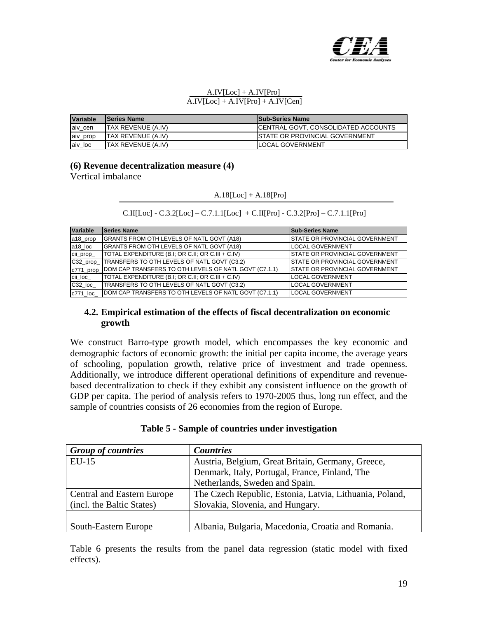

#### $A.IV[Loc] + A.IV[Pro]$  $\overline{A.IV[Loc] + A.IV[Pro] + A.IV[Cen]}$

| Variable | <b>ISeries Name</b>        | <b>Sub-Series Name</b>                     |
|----------|----------------------------|--------------------------------------------|
| aiv cen  | <b>ITAX REVENUE (A.IV)</b> | <b>CENTRAL GOVT, CONSOLIDATED ACCOUNTS</b> |
| aiv_prop | <b>ITAX REVENUE (A.IV)</b> | <b>ISTATE OR PROVINCIAL GOVERNMENT</b>     |
| aiv loc  | <b>ITAX REVENUE (A.IV)</b> | <b>LOCAL GOVERNMENT</b>                    |

#### **(6) Revenue decentralization measure (4)**

Vertical imbalance

#### $A.18[Loc] + A.18[Pro]$

| $C.II[Loc] - C.3.2[Loc] - C.7.1.1[Loc] + C.II[Pro] - C.3.2[Pro] - C.7.1.1[Pro]$ |  |  |  |
|---------------------------------------------------------------------------------|--|--|--|

| Variable  | <b>Series Name</b>                                              | <b>Sub-Series Name</b>                |
|-----------|-----------------------------------------------------------------|---------------------------------------|
| a18_prop  | GRANTS FROM OTH LEVELS OF NATL GOVT (A18)                       | <b>STATE OR PROVINCIAL GOVERNMENT</b> |
| a18 loc   | <b>GRANTS FROM OTH LEVELS OF NATL GOVT (A18)</b>                | <b>LOCAL GOVERNMENT</b>               |
| cii_prop_ | TOTAL EXPENDITURE (B.I; OR C.II; OR C.III + C.IV)               | <b>STATE OR PROVINCIAL GOVERNMENT</b> |
|           | C32_prop_TRANSFERS TO OTH LEVELS OF NATL GOVT (C3.2)            | <b>STATE OR PROVINCIAL GOVERNMENT</b> |
|           | c771_prop_DOM CAP TRANSFERS TO OTH LEVELS OF NATL GOVT (C7.1.1) | <b>STATE OR PROVINCIAL GOVERNMENT</b> |
| cii_loc_  | TOTAL EXPENDITURE (B.I; OR C.II; OR C.III + C.IV)               | <b>LOCAL GOVERNMENT</b>               |
| C32 loc   | TRANSFERS TO OTH LEVELS OF NATL GOVT (C3.2)                     | <b>LOCAL GOVERNMENT</b>               |
| c771 loc  | DOM CAP TRANSFERS TO OTH LEVELS OF NATL GOVT (C7.1.1)           | <b>LOCAL GOVERNMENT</b>               |

#### **4.2. Empirical estimation of the effects of fiscal decentralization on economic growth**

We construct Barro-type growth model, which encompasses the key economic and demographic factors of economic growth: the initial per capita income, the average years of schooling, population growth, relative price of investment and trade openness. Additionally, we introduce different operational definitions of expenditure and revenuebased decentralization to check if they exhibit any consistent influence on the growth of GDP per capita. The period of analysis refers to 1970-2005 thus, long run effect, and the sample of countries consists of 26 economies from the region of Europe.

| <b>Group of countries</b>         | <b>Countries</b>                                        |
|-----------------------------------|---------------------------------------------------------|
| $EU-15$                           | Austria, Belgium, Great Britain, Germany, Greece,       |
|                                   | Denmark, Italy, Portugal, France, Finland, The          |
|                                   | Netherlands, Sweden and Spain.                          |
| <b>Central and Eastern Europe</b> | The Czech Republic, Estonia, Latvia, Lithuania, Poland, |
| (incl. the Baltic States)         | Slovakia, Slovenia, and Hungary.                        |
|                                   |                                                         |
| South-Eastern Europe              | Albania, Bulgaria, Macedonia, Croatia and Romania.      |

Table 6 presents the results from the panel data regression (static model with fixed effects).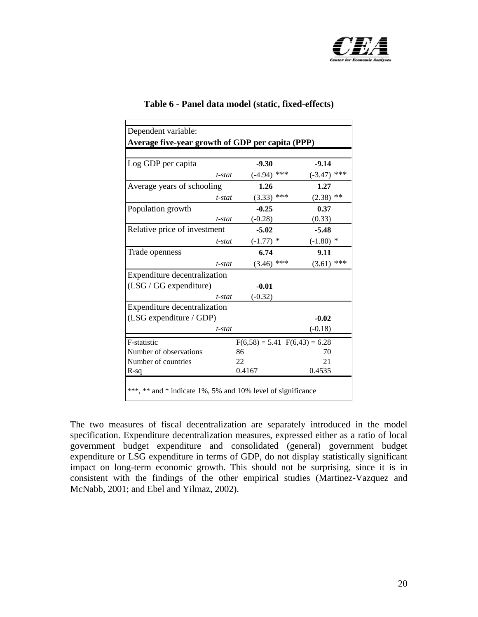

| Dependent variable:                                         |        |                 |                                   |  |  |
|-------------------------------------------------------------|--------|-----------------|-----------------------------------|--|--|
| Average five-year growth of GDP per capita (PPP)            |        |                 |                                   |  |  |
|                                                             |        |                 |                                   |  |  |
| Log GDP per capita                                          |        | $-9.30$         | $-9.14$                           |  |  |
| $t$ -stat                                                   |        | $(-4.94)$ ***   | $(-3.47)$ ***                     |  |  |
| Average years of schooling                                  |        | 1.26            | 1.27                              |  |  |
| t-stat                                                      |        | $***$<br>(3.33) | $(2.38)$ **                       |  |  |
| Population growth                                           |        | $-0.25$         | 0.37                              |  |  |
| t-stat                                                      |        | $(-0.28)$       | (0.33)                            |  |  |
| Relative price of investment                                |        | $-5.02$         | $-5.48$                           |  |  |
| t-stat                                                      |        | $(-1.77)$ *     | $(-1.80)$ *                       |  |  |
| Trade openness                                              |        | 6.74            | 9.11                              |  |  |
| t-stat                                                      |        | ***<br>(3.46)   | $(3.61)$ ***                      |  |  |
| Expenditure decentralization                                |        |                 |                                   |  |  |
| $(LSG / GG$ expenditure)                                    |        | $-0.01$         |                                   |  |  |
| $t$ -stat                                                   |        | $(-0.32)$       |                                   |  |  |
| Expenditure decentralization                                |        |                 |                                   |  |  |
| (LSG expenditure / GDP)                                     |        |                 | $-0.02$                           |  |  |
| t-stat                                                      |        |                 | $(-0.18)$                         |  |  |
| F-statistic                                                 |        |                 | $F(6,58) = 5.41$ $F(6,43) = 6.28$ |  |  |
| Number of observations                                      | 86     |                 | 70                                |  |  |
| Number of countries                                         | 22     |                 | 21                                |  |  |
| R-sq                                                        | 0.4167 |                 | 0.4535                            |  |  |
|                                                             |        |                 |                                   |  |  |
| ***, ** and * indicate 1%, 5% and 10% level of significance |        |                 |                                   |  |  |
|                                                             |        |                 |                                   |  |  |

#### **Table 6 - Panel data model (static, fixed-effects)**

The two measures of fiscal decentralization are separately introduced in the model specification. Expenditure decentralization measures, expressed either as a ratio of local government budget expenditure and consolidated (general) government budget expenditure or LSG expenditure in terms of GDP, do not display statistically significant impact on long-term economic growth. This should not be surprising, since it is in consistent with the findings of the other empirical studies (Martinez-Vazquez and McNabb, 2001; and Ebel and Yilmaz, 2002).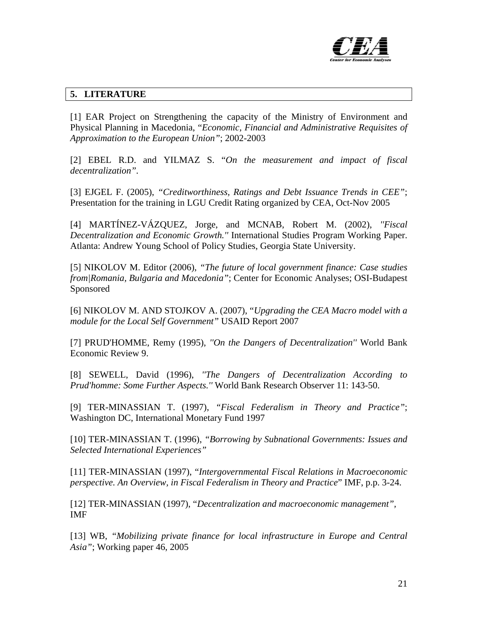

### **5. LITERATURE**

[1] EAR Project on Strengthening the capacity of the Ministry of Environment and Physical Planning in Macedonia, "*Economic, Financial and Administrative Requisites of Approximation to the European Union"*; 2002-2003

[2] EBEL R.D. and YILMAZ S. "*On the measurement and impact of fiscal decentralization".* 

[3] EJGEL F. (2005), *"Creditworthiness, Ratings and Debt Issuance Trends in CEE"*; Presentation for the training in LGU Credit Rating organized by CEA, Oct-Nov 2005

[4] MARTÍNEZ-VÁZQUEZ, Jorge, and MCNAB, Robert M. (2002), *''Fiscal Decentralization and Economic Growth.''* International Studies Program Working Paper. Atlanta: Andrew Young School of Policy Studies, Georgia State University.

[5] NIKOLOV M. Editor (2006), *"The future of local government finance: Case studies from|Romania, Bulgaria and Macedonia"*; Center for Economic Analyses; OSI-Budapest Sponsored

[6] NIKOLOV M. AND STOJKOV A. (2007), "*Upgrading the CEA Macro model with a module for the Local Self Government"* USAID Report 2007

[7] PRUD'HOMME, Remy (1995), *''On the Dangers of Decentralization''* World Bank Economic Review 9.

[8] SEWELL, David (1996), *''The Dangers of Decentralization According to Prud'homme: Some Further Aspects.''* World Bank Research Observer 11: 143-50.

[9] TER-MINASSIAN T. (1997), *"Fiscal Federalism in Theory and Practice"*; Washington DC, International Monetary Fund 1997

[10] TER-MINASSIAN T. (1996), *"Borrowing by Subnational Governments: Issues and Selected International Experiences"* 

[11] TER-MINASSIAN (1997), "*Intergovernmental Fiscal Relations in Macroeconomic perspective. An Overview, in Fiscal Federalism in Theory and Practice*" IMF, p.p. 3-24.

[12] TER-MINASSIAN (1997), "*Decentralization and macroeconomic management",* IMF

[13] WB, *"Mobilizing private finance for local infrastructure in Europe and Central Asia"*; Working paper 46, 2005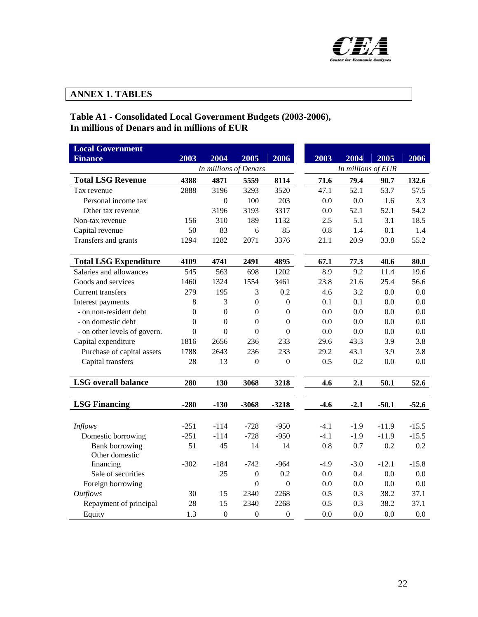

## **ANNEX 1. TABLES**

#### **Table A1 - Consolidated Local Government Budgets (2003-2006), In millions of Denars and in millions of EUR**

| <b>Local Government</b>                 |                  |                  |                  |                  |        |        |                    |         |
|-----------------------------------------|------------------|------------------|------------------|------------------|--------|--------|--------------------|---------|
| <b>Finance</b>                          | 2003             | 2004             | 2005             | 2006             | 2003   | 2004   | 2005               | 2006    |
| In millions of Denars                   |                  |                  |                  |                  |        |        | In millions of EUR |         |
| <b>Total LSG Revenue</b>                | 4388             | 4871             | 5559             | 8114             | 71.6   | 79.4   | 90.7               | 132.6   |
| Tax revenue                             | 2888             | 3196             | 3293             | 3520             | 47.1   | 52.1   | 53.7               | 57.5    |
| Personal income tax                     |                  | $\boldsymbol{0}$ | 100              | 203              | 0.0    | 0.0    | 1.6                | 3.3     |
| Other tax revenue                       |                  | 3196             | 3193             | 3317             | 0.0    | 52.1   | 52.1               | 54.2    |
| Non-tax revenue                         | 156              | 310              | 189              | 1132             | 2.5    | 5.1    | 3.1                | 18.5    |
| Capital revenue                         | 50               | 83               | 6                | 85               | 0.8    | 1.4    | 0.1                | 1.4     |
| Transfers and grants                    | 1294             | 1282             | 2071             | 3376             | 21.1   | 20.9   | 33.8               | 55.2    |
| <b>Total LSG Expenditure</b>            | 4109             | 4741             | 2491             | 4895             | 67.1   | 77.3   | 40.6               | 80.0    |
| Salaries and allowances                 | 545              | 563              | 698              | 1202             | 8.9    | 9.2    | 11.4               | 19.6    |
| Goods and services                      | 1460             | 1324             | 1554             | 3461             | 23.8   | 21.6   | 25.4               | 56.6    |
| <b>Current transfers</b>                | 279              | 195              | 3                | 0.2              | 4.6    | 3.2    | 0.0                | 0.0     |
| Interest payments                       | 8                | 3                | $\mathbf{0}$     | $\boldsymbol{0}$ | 0.1    | 0.1    | 0.0                | 0.0     |
| - on non-resident debt                  | $\boldsymbol{0}$ | $\boldsymbol{0}$ | $\theta$         | $\Omega$         | 0.0    | 0.0    | 0.0                | 0.0     |
| - on domestic debt                      | $\overline{0}$   | $\theta$         | $\mathbf{0}$     | $\theta$         | 0.0    | 0.0    | 0.0                | 0.0     |
| - on other levels of govern.            | $\boldsymbol{0}$ | $\boldsymbol{0}$ | $\boldsymbol{0}$ | $\mathbf{0}$     | 0.0    | 0.0    | 0.0                | 0.0     |
| Capital expenditure                     | 1816             | 2656             | 236              | 233              | 29.6   | 43.3   | 3.9                | 3.8     |
| Purchase of capital assets              | 1788             | 2643             | 236              | 233              | 29.2   | 43.1   | 3.9                | 3.8     |
| Capital transfers                       | 28               | 13               | $\mathbf{0}$     | $\boldsymbol{0}$ | 0.5    | 0.2    | 0.0                | 0.0     |
| <b>LSG</b> overall balance              | 280              | 130              | 3068             | 3218             | 4.6    | 2.1    | 50.1               | 52.6    |
| <b>LSG Financing</b>                    | $-280$           | $-130$           | $-3068$          | $-3218$          | $-4.6$ | $-2.1$ | $-50.1$            | $-52.6$ |
|                                         |                  |                  |                  |                  |        |        |                    |         |
| <b>Inflows</b>                          | $-251$           | $-114$           | $-728$           | $-950$           | $-4.1$ | $-1.9$ | $-11.9$            | $-15.5$ |
| Domestic borrowing                      | $-251$           | $-114$           | $-728$           | $-950$           | $-4.1$ | $-1.9$ | $-11.9$            | $-15.5$ |
| <b>Bank borrowing</b><br>Other domestic | 51               | 45               | 14               | 14               | 0.8    | 0.7    | 0.2                | 0.2     |
| financing                               | $-302$           | $-184$           | $-742$           | $-964$           | $-4.9$ | $-3.0$ | $-12.1$            | $-15.8$ |
| Sale of securities                      |                  | 25               | $\boldsymbol{0}$ | 0.2              | 0.0    | 0.4    | 0.0                | 0.0     |
| Foreign borrowing                       |                  |                  | $\mathbf{0}$     | $\mathbf{0}$     | 0.0    | 0.0    | 0.0                | 0.0     |
| <b>Outflows</b>                         | 30               | 15               | 2340             | 2268             | 0.5    | 0.3    | 38.2               | 37.1    |
| Repayment of principal                  | 28               | 15               | 2340             | 2268             | 0.5    | 0.3    | 38.2               | 37.1    |
| Equity                                  | 1.3              | $\boldsymbol{0}$ | $\boldsymbol{0}$ | $\boldsymbol{0}$ | 0.0    | 0.0    | 0.0                | 0.0     |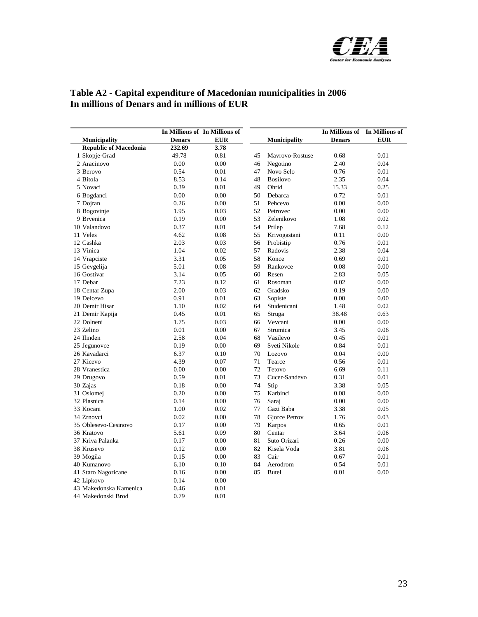

| Table A2 - Capital expenditure of Macedonian municipalities in 2006 |  |
|---------------------------------------------------------------------|--|
| In millions of Denars and in millions of EUR                        |  |

|                              | In Millions of In Millions of |            |    |                     |               | In Millions of In Millions of |
|------------------------------|-------------------------------|------------|----|---------------------|---------------|-------------------------------|
| <b>Municipality</b>          | <b>Denars</b>                 | <b>EUR</b> |    | <b>Municipality</b> | <b>Denars</b> | <b>EUR</b>                    |
| <b>Republic of Macedonia</b> | 232.69                        | 3.78       |    |                     |               |                               |
| 1 Skopje-Grad                | 49.78                         | 0.81       | 45 | Mavrovo-Rostuse     | 0.68          | 0.01                          |
| 2 Aracinovo                  | 0.00                          | 0.00       | 46 | Negotino            | 2.40          | 0.04                          |
| 3 Berovo                     | 0.54                          | 0.01       | 47 | Novo Selo           | 0.76          | 0.01                          |
| 4 Bitola                     | 8.53                          | 0.14       | 48 | <b>Bosilovo</b>     | 2.35          | 0.04                          |
| 5 Novaci                     | 0.39                          | 0.01       | 49 | Ohrid               | 15.33         | 0.25                          |
| 6 Bogdanci                   | 0.00                          | 0.00       | 50 | Debarca             | 0.72          | 0.01                          |
| 7 Dojran                     | 0.26                          | 0.00       | 51 | Pehcevo             | 0.00          | 0.00                          |
| 8 Bogovinje                  | 1.95                          | 0.03       | 52 | Petrovec            | 0.00          | 0.00                          |
| 9 Brvenica                   | 0.19                          | 0.00       | 53 | Zelenikovo          | 1.08          | 0.02                          |
| 10 Valandovo                 | 0.37                          | 0.01       | 54 | Prilep              | 7.68          | 0.12                          |
| 11 Veles                     | 4.62                          | 0.08       | 55 | Krivogastani        | 0.11          | 0.00                          |
| 12 Cashka                    | 2.03                          | 0.03       | 56 | Probistip           | 0.76          | 0.01                          |
| 13 Vinica                    | 1.04                          | 0.02       | 57 | Radovis             | 2.38          | 0.04                          |
| 14 Vrapciste                 | 3.31                          | 0.05       | 58 | Konce               | 0.69          | 0.01                          |
| 15 Gevgelija                 | 5.01                          | 0.08       | 59 | Rankovce            | 0.08          | 0.00                          |
| 16 Gostivar                  | 3.14                          | 0.05       | 60 | Resen               | 2.83          | 0.05                          |
| 17 Debar                     | 7.23                          | 0.12       | 61 | Rosoman             | 0.02          | 0.00                          |
| 18 Centar Zupa               | 2.00                          | 0.03       | 62 | Gradsko             | 0.19          | 0.00                          |
| 19 Delcevo                   | 0.91                          | 0.01       | 63 | Sopiste             | 0.00          | 0.00                          |
| 20 Demir Hisar               | 1.10                          | 0.02       | 64 | Studenicani         | 1.48          | 0.02                          |
| 21 Demir Kapija              | 0.45                          | 0.01       | 65 | Struga              | 38.48         | 0.63                          |
| 22 Dolneni                   | 1.75                          | 0.03       | 66 | Vevcani             | 0.00          | 0.00                          |
| 23 Zelino                    | 0.01                          | 0.00       | 67 | Strumica            | 3.45          | 0.06                          |
| 24 Ilinden                   | 2.58                          | 0.04       | 68 | Vasilevo            | 0.45          | 0.01                          |
| 25 Jegunovce                 | 0.19                          | 0.00       | 69 | Sveti Nikole        | 0.84          | 0.01                          |
| 26 Kavadarci                 | 6.37                          | 0.10       | 70 | Lozovo              | 0.04          | 0.00                          |
| 27 Kicevo                    | 4.39                          | 0.07       | 71 | Tearce              | 0.56          | 0.01                          |
| 28 Vranestica                | 0.00                          | 0.00       | 72 | Tetovo              | 6.69          | 0.11                          |
| 29 Drugovo                   | 0.59                          | 0.01       | 73 | Cucer-Sandevo       | 0.31          | 0.01                          |
| 30 Zajas                     | 0.18                          | 0.00       | 74 | Stip                | 3.38          | 0.05                          |
| 31 Oslomej                   | 0.20                          | 0.00       | 75 | Karbinci            | 0.08          | 0.00                          |
| 32 Plasnica                  | 0.14                          | 0.00       | 76 | Saraj               | 0.00          | 0.00                          |
| 33 Kocani                    | 1.00                          | 0.02       | 77 | Gazi Baba           | 3.38          | 0.05                          |
| 34 Zrnovci                   | 0.02                          | 0.00       | 78 | Gjorce Petrov       | 1.76          | 0.03                          |
| 35 Oblesevo-Cesinovo         | 0.17                          | 0.00       | 79 | Karpos              | 0.65          | 0.01                          |
| 36 Kratovo                   | 5.61                          | 0.09       | 80 | Centar              | 3.64          | 0.06                          |
| 37 Kriva Palanka             | 0.17                          | 0.00       | 81 | Suto Orizari        | 0.26          | 0.00                          |
| 38 Krusevo                   | 0.12                          | 0.00       | 82 | Kisela Voda         | 3.81          | 0.06                          |
| 39 Mogila                    | 0.15                          | 0.00       | 83 | Cair                | 0.67          | 0.01                          |
| 40 Kumanovo                  | 6.10                          | 0.10       | 84 | Aerodrom            | 0.54          | 0.01                          |
| 41 Staro Nagoricane          | 0.16                          | 0.00       | 85 | <b>Butel</b>        | 0.01          | 0.00                          |
| 42 Lipkovo                   | 0.14                          | 0.00       |    |                     |               |                               |
| 43 Makedonska Kamenica       | 0.46                          | 0.01       |    |                     |               |                               |
| 44 Makedonski Brod           | 0.79                          | 0.01       |    |                     |               |                               |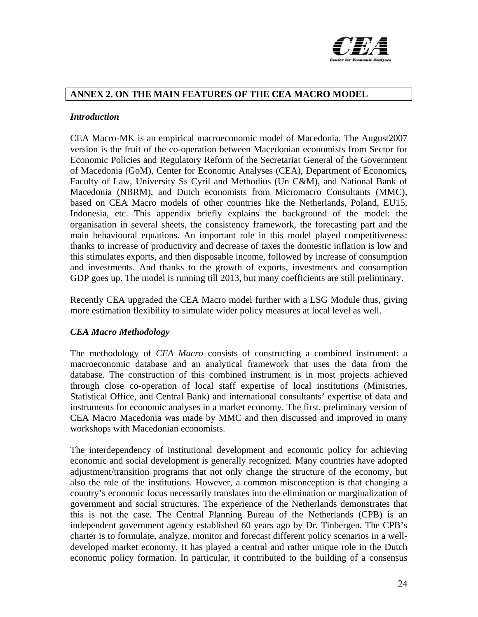

## **ANNEX 2. ON THE MAIN FEATURES OF THE CEA MACRO MODEL**

#### *Introduction*

CEA Macro-MK is an empirical macroeconomic model of Macedonia. The August2007 version is the fruit of the co-operation between Macedonian economists from Sector for Economic Policies and Regulatory Reform of the Secretariat General of the Government of Macedonia (GoM), Center for Economic Analyses (CEA), Department of Economics*,*  Faculty of Law, University Ss Cyril and Methodius (Un C&M), and National Bank of Macedonia (NBRM), and Dutch economists from Micromacro Consultants (MMC), based on CEA Macro models of other countries like the Netherlands, Poland, EU15, Indonesia, etc. This appendix briefly explains the background of the model: the organisation in several sheets, the consistency framework, the forecasting part and the main behavioural equations. An important role in this model played competitiveness: thanks to increase of productivity and decrease of taxes the domestic inflation is low and this stimulates exports, and then disposable income, followed by increase of consumption and investments. And thanks to the growth of exports, investments and consumption GDP goes up. The model is running till 2013, but many coefficients are still preliminary.

Recently CEA upgraded the CEA Macro model further with a LSG Module thus, giving more estimation flexibility to simulate wider policy measures at local level as well.

#### *CEA Macro Methodology*

The methodology of *CEA Macro* consists of constructing a combined instrument: a macroeconomic database and an analytical framework that uses the data from the database. The construction of this combined instrument is in most projects achieved through close co-operation of local staff expertise of local institutions (Ministries, Statistical Office, and Central Bank) and international consultants' expertise of data and instruments for economic analyses in a market economy. The first, preliminary version of CEA Macro Macedonia was made by MMC and then discussed and improved in many workshops with Macedonian economists.

The interdependency of institutional development and economic policy for achieving economic and social development is generally recognized*.* Many countries have adopted adjustment/transition programs that not only change the structure of the economy, but also the role of the institutions*.* However, a common misconception is that changing a country's economic focus necessarily translates into the elimination or marginalization of government and social structures*.* The experience of the Netherlands demonstrates that this is not the case. The Central Planning Bureau of the Netherlands (CPB) is an independent government agency established 60 years ago by Dr*.* Tinbergen*.* The CPB's charter is to formulate, analyze, monitor and forecast different policy scenarios in a welldeveloped market economy*.* It has played a central and rather unique role in the Dutch economic policy formation*.* In particular, it contributed to the building of a consensus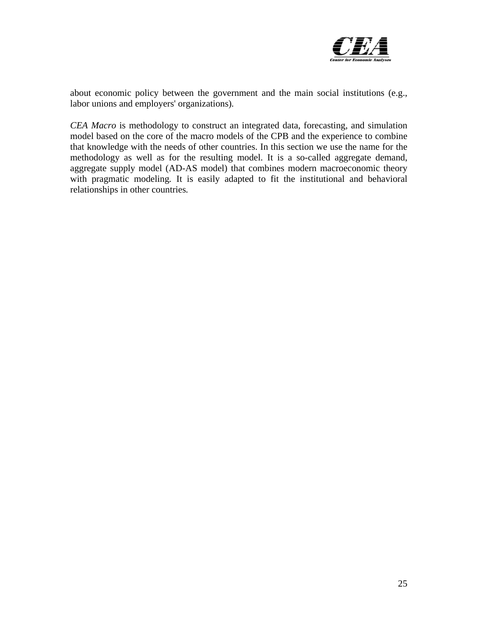

about economic policy between the government and the main social institutions (e.g., labor unions and employers' organizations)*.* 

*CEA Macro* is methodology to construct an integrated data, forecasting, and simulation model based on the core of the macro models of the CPB and the experience to combine that knowledge with the needs of other countries. In this section we use the name for the methodology as well as for the resulting model. It is a so-called aggregate demand, aggregate supply model (AD-AS model) that combines modern macroeconomic theory with pragmatic modeling. It is easily adapted to fit the institutional and behavioral relationships in other countries*.*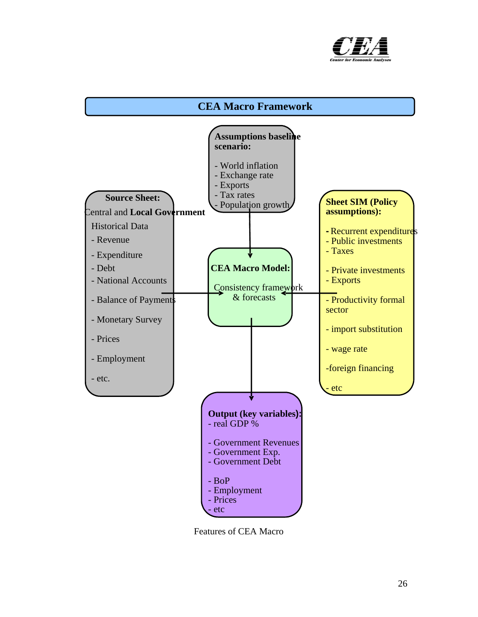

## **CEA Macro Framework**



Features of CEA Macro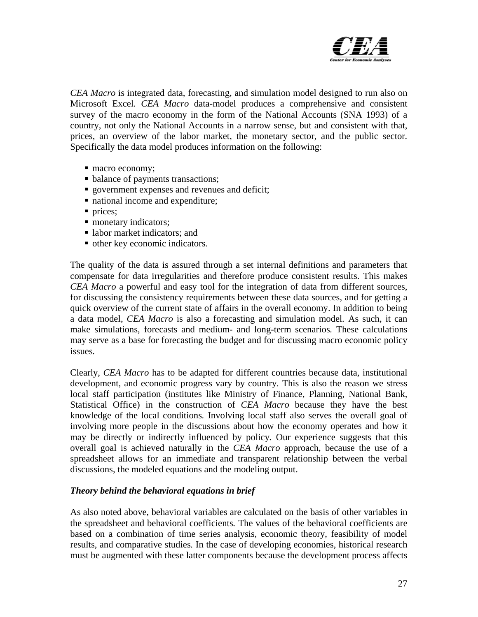

*CEA Macro* is integrated data, forecasting, and simulation model designed to run also on Microsoft Excel*. CEA Macro* data-model produces a comprehensive and consistent survey of the macro economy in the form of the National Accounts (SNA 1993) of a country, not only the National Accounts in a narrow sense, but and consistent with that, prices, an overview of the labor market, the monetary sector, and the public sector*.*  Specifically the data model produces information on the following:

- $\blacksquare$  macro economy;
- balance of payments transactions;
- government expenses and revenues and deficit;
- national income and expenditure;
- prices:
- monetary indicators;
- labor market indicators; and
- other key economic indicators*.*

The quality of the data is assured through a set internal definitions and parameters that compensate for data irregularities and therefore produce consistent results. This makes *CEA Macro* a powerful and easy tool for the integration of data from different sources, for discussing the consistency requirements between these data sources, and for getting a quick overview of the current state of affairs in the overall economy. In addition to being a data model, *CEA Macro* is also a forecasting and simulation model*.* As such, it can make simulations, forecasts and medium- and long-term scenarios*.* These calculations may serve as a base for forecasting the budget and for discussing macro economic policy issues*.* 

Clearly, *CEA Macro* has to be adapted for different countries because data, institutional development, and economic progress vary by country*.* This is also the reason we stress local staff participation (institutes like Ministry of Finance, Planning, National Bank, Statistical Office) in the construction of *CEA Macro* because they have the best knowledge of the local conditions*.* Involving local staff also serves the overall goal of involving more people in the discussions about how the economy operates and how it may be directly or indirectly influenced by policy*.* Our experience suggests that this overall goal is achieved naturally in the *CEA Macro* approach, because the use of a spreadsheet allows for an immediate and transparent relationship between the verbal discussions, the modeled equations and the modeling output.

#### *Theory behind the behavioral equations in brief*

As also noted above, behavioral variables are calculated on the basis of other variables in the spreadsheet and behavioral coefficients*.* The values of the behavioral coefficients are based on a combination of time series analysis, economic theory, feasibility of model results, and comparative studies*.* In the case of developing economies, historical research must be augmented with these latter components because the development process affects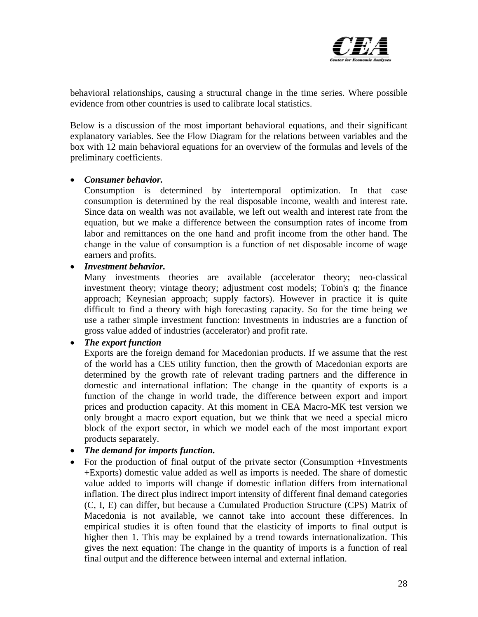

behavioral relationships, causing a structural change in the time series*.* Where possible evidence from other countries is used to calibrate local statistics.

Below is a discussion of the most important behavioral equations, and their significant explanatory variables. See the Flow Diagram for the relations between variables and the box with 12 main behavioral equations for an overview of the formulas and levels of the preliminary coefficients.

#### • *Consumer behavior.*

 Consumption is determined by intertemporal optimization. In that case consumption is determined by the real disposable income, wealth and interest rate. Since data on wealth was not available, we left out wealth and interest rate from the equation, but we make a difference between the consumption rates of income from labor and remittances on the one hand and profit income from the other hand. The change in the value of consumption is a function of net disposable income of wage earners and profits.

• *Investment behavior.* 

 Many investments theories are available (accelerator theory; neo-classical investment theory; vintage theory; adjustment cost models; Tobin's q; the finance approach; Keynesian approach; supply factors). However in practice it is quite difficult to find a theory with high forecasting capacity. So for the time being we use a rather simple investment function: Investments in industries are a function of gross value added of industries (accelerator) and profit rate.

## • *The export function*

 Exports are the foreign demand for Macedonian products. If we assume that the rest of the world has a CES utility function, then the growth of Macedonian exports are determined by the growth rate of relevant trading partners and the difference in domestic and international inflation: The change in the quantity of exports is a function of the change in world trade, the difference between export and import prices and production capacity. At this moment in CEA Macro-MK test version we only brought a macro export equation, but we think that we need a special micro block of the export sector, in which we model each of the most important export products separately.

## • *The demand for imports function.*

• For the production of final output of the private sector (Consumption +Investments +Exports) domestic value added as well as imports is needed. The share of domestic value added to imports will change if domestic inflation differs from international inflation. The direct plus indirect import intensity of different final demand categories (C, I, E) can differ, but because a Cumulated Production Structure (CPS) Matrix of Macedonia is not available, we cannot take into account these differences. In empirical studies it is often found that the elasticity of imports to final output is higher then 1. This may be explained by a trend towards internationalization. This gives the next equation: The change in the quantity of imports is a function of real final output and the difference between internal and external inflation.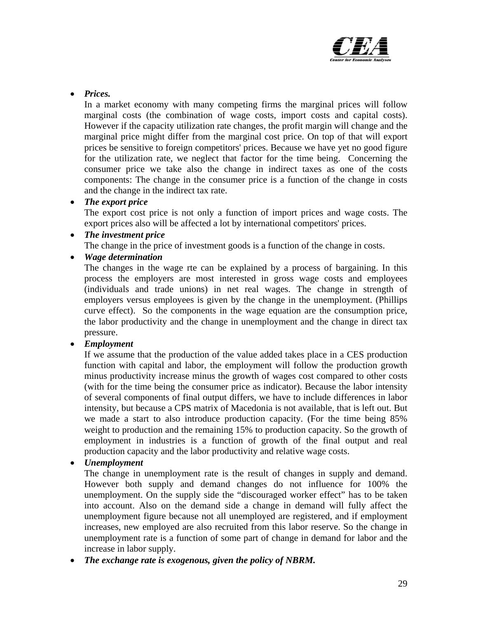

• *Prices.* 

In a market economy with many competing firms the marginal prices will follow marginal costs (the combination of wage costs, import costs and capital costs). However if the capacity utilization rate changes, the profit margin will change and the marginal price might differ from the marginal cost price. On top of that will export prices be sensitive to foreign competitors' prices. Because we have yet no good figure for the utilization rate, we neglect that factor for the time being. Concerning the consumer price we take also the change in indirect taxes as one of the costs components: The change in the consumer price is a function of the change in costs and the change in the indirect tax rate.

#### • *The export price*

 The export cost price is not only a function of import prices and wage costs. The export prices also will be affected a lot by international competitors' prices.

#### • *The investment price*

The change in the price of investment goods is a function of the change in costs.

• *Wage determination* 

 The changes in the wage rte can be explained by a process of bargaining. In this process the employers are most interested in gross wage costs and employees (individuals and trade unions) in net real wages. The change in strength of employers versus employees is given by the change in the unemployment. (Phillips curve effect). So the components in the wage equation are the consumption price, the labor productivity and the change in unemployment and the change in direct tax pressure.

## • *Employment*

If we assume that the production of the value added takes place in a CES production function with capital and labor, the employment will follow the production growth minus productivity increase minus the growth of wages cost compared to other costs (with for the time being the consumer price as indicator). Because the labor intensity of several components of final output differs, we have to include differences in labor intensity, but because a CPS matrix of Macedonia is not available, that is left out. But we made a start to also introduce production capacity. (For the time being 85% weight to production and the remaining 15% to production capacity. So the growth of employment in industries is a function of growth of the final output and real production capacity and the labor productivity and relative wage costs.

## • *Unemployment*

The change in unemployment rate is the result of changes in supply and demand. However both supply and demand changes do not influence for 100% the unemployment. On the supply side the "discouraged worker effect" has to be taken into account. Also on the demand side a change in demand will fully affect the unemployment figure because not all unemployed are registered, and if employment increases, new employed are also recruited from this labor reserve. So the change in unemployment rate is a function of some part of change in demand for labor and the increase in labor supply.

• *The exchange rate is exogenous, given the policy of NBRM.*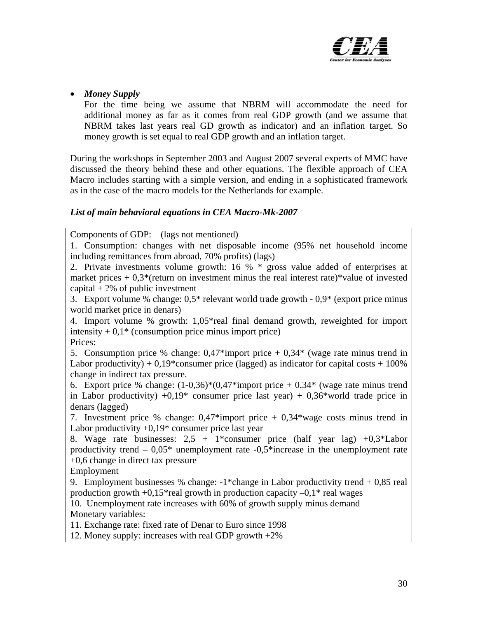

## • *Money Supply*

 For the time being we assume that NBRM will accommodate the need for additional money as far as it comes from real GDP growth (and we assume that NBRM takes last years real GD growth as indicator) and an inflation target. So money growth is set equal to real GDP growth and an inflation target.

During the workshops in September 2003 and August 2007 several experts of MMC have discussed the theory behind these and other equations. The flexible approach of CEA Macro includes starting with a simple version, and ending in a sophisticated framework as in the case of the macro models for the Netherlands for example.

## *List of main behavioral equations in CEA Macro-Mk-2007*

Components of GDP: (lags not mentioned)

1. Consumption: changes with net disposable income (95% net household income including remittances from abroad, 70% profits) (lags)

2. Private investments volume growth: 16 % \* gross value added of enterprises at market prices  $+ 0.3$ <sup>\*</sup>(return on investment minus the real interest rate)\*value of invested capital  $+$  ?% of public investment

3. Export volume % change: 0,5\* relevant world trade growth - 0,9\* (export price minus world market price in denars)

4. Import volume % growth: 1,05\*real final demand growth, reweighted for import intensity  $+0.1*$  (consumption price minus import price) Prices:

5. Consumption price % change:  $0.47*$ import price +  $0.34*$  (wage rate minus trend in Labor productivity) +  $0.19*$ consumer price (lagged) as indicator for capital costs + 100% change in indirect tax pressure.

6. Export price % change:  $(1-0.36)$ <sup>\*</sup> $(0.47$ <sup>\*</sup>import price  $+0.34$ <sup>\*</sup> (wage rate minus trend in Labor productivity)  $+0.19*$  consumer price last year)  $+0.36*$  world trade price in denars (lagged)

7. Investment price % change: 0,47\*import price + 0,34\*wage costs minus trend in Labor productivity  $+0.19*$  consumer price last year

8. Wage rate businesses:  $2.5 + 1*$ consumer price (half year lag)  $+0.3*$ Labor productivity trend  $-0.05^*$  unemployment rate  $-0.5^*$  increase in the unemployment rate +0,6 change in direct tax pressure

Employment

9. Employment businesses % change:  $-1^*$ change in Labor productivity trend  $+0.85$  real production growth  $+0.15$ <sup>\*</sup>real growth in production capacity  $-0.1$ <sup>\*</sup> real wages

10. Unemployment rate increases with 60% of growth supply minus demand Monetary variables:

11. Exchange rate: fixed rate of Denar to Euro since 1998

12. Money supply: increases with real GDP growth +2%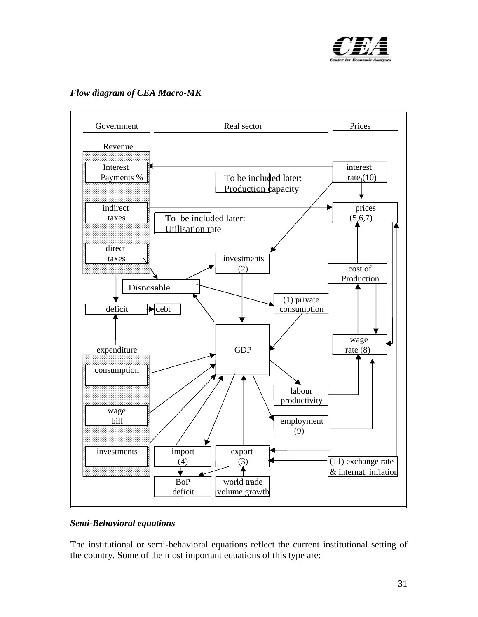

#### *Flow diagram of CEA Macro-MK*



#### *Semi-Behavioral equations*

The institutional or semi-behavioral equations reflect the current institutional setting of the country*.* Some of the most important equations of this type are: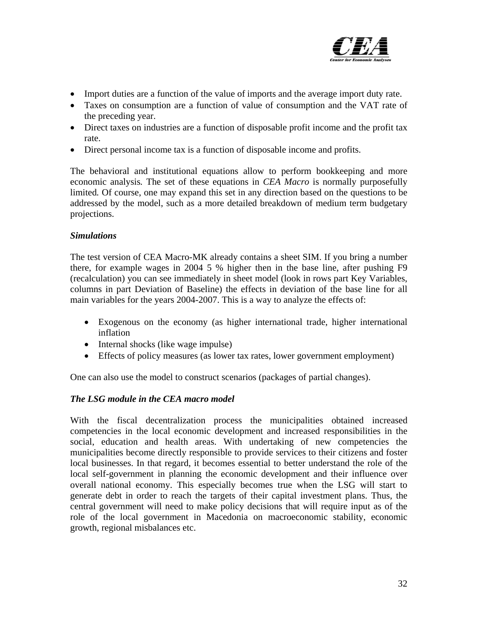

- Import duties are a function of the value of imports and the average import duty rate.
- Taxes on consumption are a function of value of consumption and the VAT rate of the preceding year.
- Direct taxes on industries are a function of disposable profit income and the profit tax rate.
- Direct personal income tax is a function of disposable income and profits.

The behavioral and institutional equations allow to perform bookkeeping and more economic analysis*.* The set of these equations in *CEA Macro* is normally purposefully limited*.* Of course, one may expand this set in any direction based on the questions to be addressed by the model, such as a more detailed breakdown of medium term budgetary projections.

#### *Simulations*

The test version of CEA Macro-MK already contains a sheet SIM. If you bring a number there, for example wages in 2004 5 % higher then in the base line, after pushing F9 (recalculation) you can see immediately in sheet model (look in rows part Key Variables, columns in part Deviation of Baseline) the effects in deviation of the base line for all main variables for the years 2004-2007. This is a way to analyze the effects of:

- Exogenous on the economy (as higher international trade, higher international inflation
- Internal shocks (like wage impulse)
- Effects of policy measures (as lower tax rates, lower government employment)

One can also use the model to construct scenarios (packages of partial changes).

## *The LSG module in the CEA macro model*

With the fiscal decentralization process the municipalities obtained increased competencies in the local economic development and increased responsibilities in the social, education and health areas. With undertaking of new competencies the municipalities become directly responsible to provide services to their citizens and foster local businesses. In that regard, it becomes essential to better understand the role of the local self-government in planning the economic development and their influence over overall national economy. This especially becomes true when the LSG will start to generate debt in order to reach the targets of their capital investment plans. Thus, the central government will need to make policy decisions that will require input as of the role of the local government in Macedonia on macroeconomic stability, economic growth, regional misbalances etc.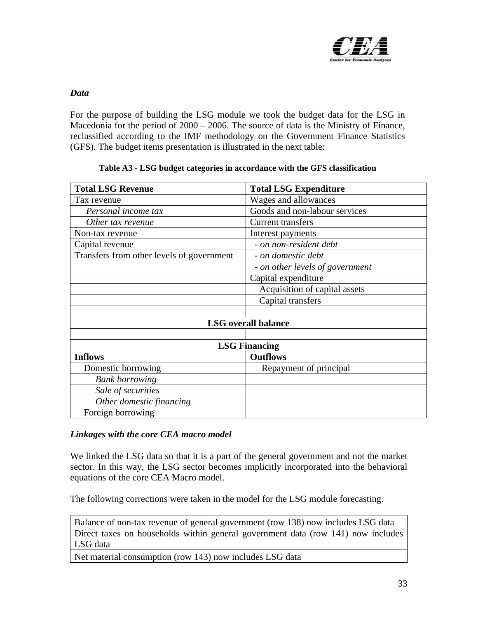

#### *Data*

For the purpose of building the LSG module we took the budget data for the LSG in Macedonia for the period of 2000 – 2006. The source of data is the Ministry of Finance, reclassified according to the IMF methodology on the Government Finance Statistics (GFS). The budget items presentation is illustrated in the next table:

| <b>Total LSG Revenue</b>                  | <b>Total LSG Expenditure</b>    |
|-------------------------------------------|---------------------------------|
| Tax revenue                               | Wages and allowances            |
| Personal income tax                       | Goods and non-labour services   |
| Other tax revenue                         | <b>Current transfers</b>        |
| Non-tax revenue                           | Interest payments               |
| Capital revenue                           | - on non-resident debt          |
| Transfers from other levels of government | - on domestic debt              |
|                                           | - on other levels of government |
|                                           | Capital expenditure             |
|                                           | Acquisition of capital assets   |
|                                           | Capital transfers               |
|                                           |                                 |
|                                           | <b>LSG</b> overall balance      |
|                                           |                                 |
|                                           | <b>LSG Financing</b>            |
| <b>Inflows</b>                            | <b>Outflows</b>                 |
| Domestic borrowing                        | Repayment of principal          |
| <b>Bank borrowing</b>                     |                                 |
| Sale of securities                        |                                 |
| Other domestic financing                  |                                 |
| Foreign borrowing                         |                                 |

#### **Table A3 - LSG budget categories in accordance with the GFS classification**

#### *Linkages with the core CEA macro model*

We linked the LSG data so that it is a part of the general government and not the market sector. In this way, the LSG sector becomes implicitly incorporated into the behavioral equations of the core CEA Macro model.

The following corrections were taken in the model for the LSG module forecasting.

Balance of non-tax revenue of general government (row 138) now includes LSG data Direct taxes on households within general government data (row 141) now includes LSG data

Net material consumption (row 143) now includes LSG data